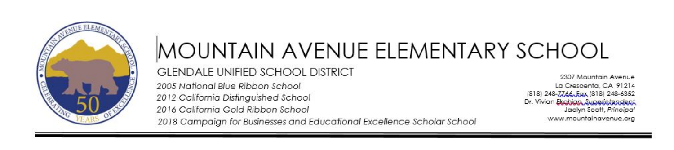

## MOUNTAIN AVENUE ELEMENTARY SCHOOL **GLENDALE UNIFIED SCHOOL DISTRICT** 2005 National Blue Ribbon School

2012 California Distinguished School 2016 California Gold Ribbon School

2307 Mountain Avenue La Crescenta, CA 91214 (818) 248-7766, Eqx (818) 248-6352 Dr. Vivian Ekobian Superintendent Jaclyn Scott, Principal www.mountainavenue.org

2018 Campaian for Businesses and Educational Excellence Scholar School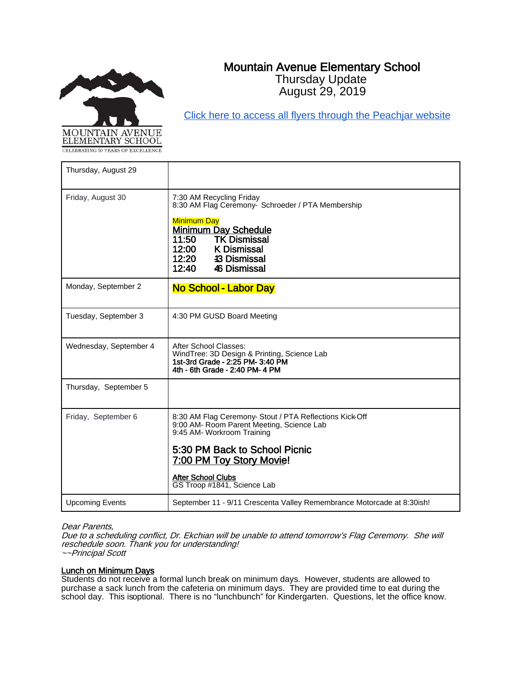

# Mountain Avenue Elementary School

Thursday Update August 29, 2019

[Click here to access all flyers through the Peachjar website](https://app.peachjar.com/flyers/all/schools/55122)

| Thursday, August 29    |                                                                                                                                                                                                   |
|------------------------|---------------------------------------------------------------------------------------------------------------------------------------------------------------------------------------------------|
| Friday, August 30      | 7:30 AM Recycling Friday<br>8:30 AM Flag Ceremony- Schroeder / PTA Membership<br><b>Minimum Day</b><br><b>Minimum Day Schedule</b><br><b>TK Dismissal</b><br>11:50<br>12:00<br><b>K</b> Dismissal |
|                        | 12:20<br><b>43 Dismissal</b><br>12:40<br>46 Dismissal                                                                                                                                             |
| Monday, September 2    | No School - Labor Day                                                                                                                                                                             |
| Tuesday, September 3   | 4:30 PM GUSD Board Meeting                                                                                                                                                                        |
| Wednesday, September 4 | After School Classes:<br>WindTree: 3D Design & Printing, Science Lab<br>1st-3rd Grade - 2:25 PM- 3:40 PM<br>4th - 6th Grade - 2:40 PM- 4 PM                                                       |
| Thursday, September 5  |                                                                                                                                                                                                   |
| Friday, September 6    | 8:30 AM Flag Ceremony- Stout / PTA Reflections Kick-Off<br>9:00 AM- Room Parent Meeting, Science Lab<br>9:45 AM- Workroom Training                                                                |
|                        | 5:30 PM Back to School Picnic<br>7:00 PM Toy Story Movie!                                                                                                                                         |
|                        | <b>After School Clubs</b><br>GS Troop #1841, Science Lab                                                                                                                                          |
| <b>Upcoming Events</b> | September 11 - 9/11 Crescenta Valley Remembrance Motorcade at 8:30ish!                                                                                                                            |

### Dear Parents,

Due to a scheduling conflict, Dr. Ekchian will be unable to attend tomorrow's Flag Ceremony. She will reschedule soon. Thank you for understanding! ~~Principal Scott

### Lunch on Minimum Days

Students do not receive a formal lunch break on minimum days. However, students are allowed to purchase a sack lunch from the cafeteria on minimum days. They are provided time to eat during the school day. This isoptional. There is no "lunchbunch" for Kindergarten. Questions, let the office know.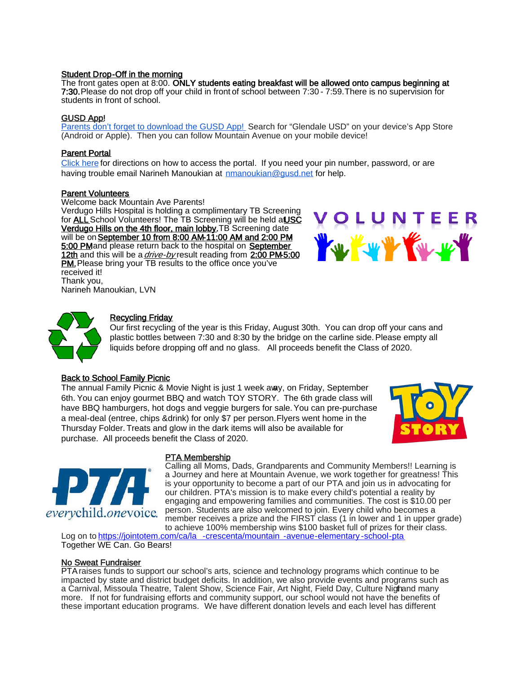### Student Drop-Off in the morning

The front gates open at 8:00. ONLY students eating breakfast will be allowed onto campus beginning at 7:30.Please do not drop off your child in front of school between 7:30 - 7:59. There is no supervision for students in front of school.

### GUSD App!

[Parents don't forget to download the GUSD App! S](https://www.gusd.net/Page/5853)earch for "Glendale USD" on your device's App Store (Android or Apple). Then you can follow Mountain Avenue on your mobile device!

### Parent Portal

[Click here](https://drive.google.com/drive/search?q=parental%20portal) for directions on how to access the portal. If you need your pin number, password, or are having trouble email Narineh Manoukian at [nmanoukian@gusd.net](mailto:nmanoukian@gusd.net) for help.

### Parent Volunteers

Welcome back Mountain Ave Parents! Verdugo Hills Hospital is holding a complimentary TB Screening for ALL School Volunteers! The TB Screening will be held at USC Verdugo Hills on the 4th floor, main lobby. TB Screening date will be on September 10 from 8:00 AM-11:00 AM and 2:00 PM 5:00 PMand please return back to the hospital on September 12th and this will be a *drive-by* result reading from 2:00 PM5:00 PM. Please bring your TB results to the office once you've received it! Thank you, Narineh Manoukian, LVN





### Recycling Friday

Our first recycling of the year is this Friday, August 30th. You can drop off your cans and plastic bottles between 7:30 and 8:30 by the bridge on the carline side. Please empty all liquids before dropping off and no glass. All proceeds benefit the Class of 2020.

### **Back to School Family Picnic**

The annual Family Picnic & Movie Night is just 1 week away, on Friday, September 6th. You can enjoy gourmet BBQ and watch TOY STORY. The 6th grade class will have BBQ hamburgers, hot dogs and veggie burgers for sale. You can pre-purchase a meal-deal (entree, chips & drink) for only \$7 per person. Flyers went home in the Thursday Folder. Treats and glow in the dark items will also be available for purchase. All proceeds benefit the Class of 2020.





### PTA Membership

Calling all Moms, Dads, Grandparents and Community Members!! Learning is a Journey and here at Mountain Avenue, we work together for greatness! This is your opportunity to become a part of our PTA and join us in advocating for our children. PTA's mission is to make every child's potential a reality by engaging and empowering families and communities. The cost is \$10.00 per person. Students are also welcomed to join. Every child who becomes a member receives a prize and the FIRST class (1 in lower and 1 in upper grade) to achieve 100% membership wins \$100 basket full of prizes for their class.

Log on t[o https://jointotem.com/ca/la](https://jointotem.com/ca/la-crescenta/mountain-avenue-elementary-school-pta) -crescenta/mountain -avenue-elementary -school-pta Together WE Can. Go Bears!

### No Sweat Fundraiser

PTA raises funds to support our school's arts, science and technology programs which continue to be impacted by state and district budget deficits. In addition, we also provide events and programs such as a Carnival, Missoula Theatre, Talent Show, Science Fair, Art Night, Field Day, Culture Nighand many more. If not for fundraising efforts and community support, our school would not have the benefits of these important education programs. We have different donation levels and each level has different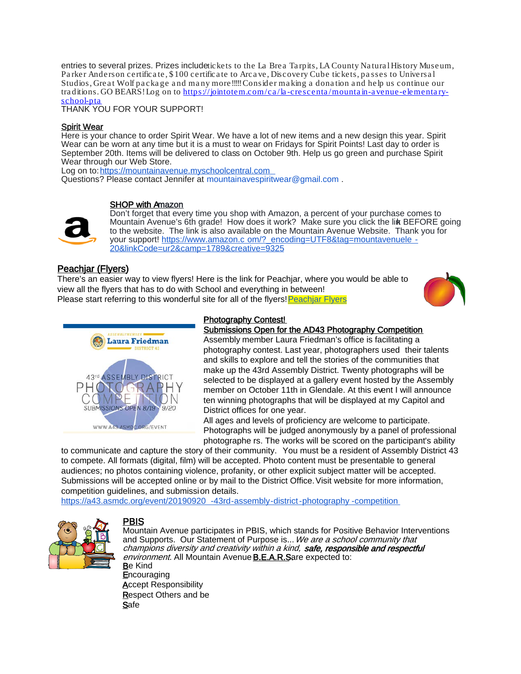entries to several prizes. Prizes include tickets to the La Brea Tarpits, LA County Natural History Museum, Pa rker Anderson certifica te, \$ 100 certifica te to Arca ve, Discovery Cube tickets, pa sses to Universa l Studios, Grea t Wolf pa cka ge a nd ma ny more!!!!! Consider ma king a dona tion a nd help us continue our tra ditions. GO BEARS! Log on to https://jointotem.com/ca /la [-crescenta /mounta in-a venue-elementa ry](https://jointotem.com/ca/la-crescenta/mountain-avenue-elementary-school-pta)[school-pta](https://jointotem.com/ca/la-crescenta/mountain-avenue-elementary-school-pta) 

THANK YOU FOR YOUR SUPPORT!

### Spirit Wear

Here is your chance to order Spirit Wear. We have a lot of new items and a new design this year. Spirit Wear can be worn at any time but it is a must to wear on Fridays for Spirit Points! Last day to order is September 20th. Items will be delivered to class on October 9th. Help us go green and purchase Spirit Wear through our Web Store.

Log on to[: https://mountainavenue.myschoolcentral.com](https://mountainavenue.myschoolcentral.com/) Questions? Please contact Jennifer at mountainavespiritwear@gmail.com .

### SHOP with Amazon



Don't forget that every time you shop with Amazon, a percent of your purchase comes to Mountain Avenue's 6th grade! How does it work? Make sure you click the link BEFORE going to the website. The link is also available on the Mountain Avenue Website. Thank you for your support! https://www.amazon.c [om/?\\_encoding=UTF8&tag=mountavenuele](https://www.amazon.com/?_encoding=UTF8&tag=mountavenuele-20&linkCode=ur2&camp=1789&creative=9325) -[20&linkCode=ur2&camp=1789&creative=9325](https://www.amazon.com/?_encoding=UTF8&tag=mountavenuele-20&linkCode=ur2&camp=1789&creative=9325)

### Peachjar (Flyers)

There's an easier way to view flyers! Here is the link for Peachjar, where you would be able to view all the flyers that has to do with School and everything in between! Please start referring to this wonderful site for all of the flyers! Peachiar Flyers





### Photography Contest!

### Submissions Open for the AD43 Photography Competition

Assembly member Laura Friedman's office is facilitating a photography contest. Last year, photographers used their talents and skills to explore and tell the stories of the communities that make up the 43rd Assembly District. Twenty photographs will be selected to be displayed at a gallery event hosted by the Assembly member on October 11th in Glendale. At this event I will announce ten winning photographs that will be displayed at my Capitol and District offices for one year.

All ages and levels of proficiency are welcome to participate. Photographs will be judged anonymously by a panel of professional photographe rs. The works will be scored on the participant's ability

to communicate and capture the story of their community. You must be a resident of Assembly District 43 to compete. All formats (digital, film) will be accepted. Photo content must be presentable to general audiences; no photos containing violence, profanity, or other explicit subject matter will be accepted. Submissions will be accepted online or by mail to the District Office. Visit website for more information, competition guidelines, and submission details.

[https://a43.asmdc.org/event/20190920](https://a43.asmdc.org/event/20190920-43rd-assembly-district-photography-competition) -43rd-assembly-district-photography -competition



Safe

PBIS<br>Mountain Avenue participates in PBIS, which stands for Positive Behavior Interventions and Supports. Our Statement of Purpose is... We are a school community that champions diversity and creativity within a kind, safe, responsible and respectful environment. All Mountain Avenue **B.E.A.R.S**are expected to: Be Kind **Encouraging Accept Responsibility** Respect Others and be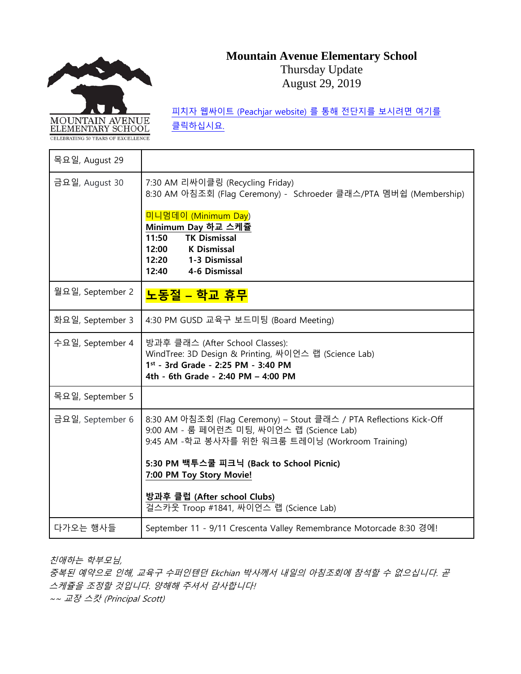# MOUNTAIN AVENUE ELEMENTARY SCHOOL

# **Mountain Avenue Elementary School**

Thursday Update August 29, 2019

목요일, August 29 금요일, August 30 7:30 AM 리싸이클링 (Recycling Friday) 8:30 AM 아침조회 (Flag Ceremony) - Schroeder 클래스/PTA 멤버쉽 (Membership) 미니멈데이 (Minimum Day) **Minimum Day 하교 스케쥴 11:50 TK Dismissal 12:00 K Dismissal 12:20 1-3 Dismissal 12:40 4-6 Dismissal** 월요일, September 2 **노동절 – 학교 휴무** 화요일, September 3 4:30 PM GUSD 교육구 보드미팅 (Board Meeting) 수요일, September 4 방과후 클래스 (After School Classes): WindTree: 3D Design & Printing, 싸이언스 랩 (Science Lab) **1st - 3rd Grade - 2:25 PM - 3:40 PM 4th - 6th Grade - 2:40 PM – 4:00 PM**  목요일, September 5 금요일, September 6 │8:30 AM 아침조회 (Flag Ceremony) – Stout 클래스 / PTA Reflections Kick-Off 9:00 AM - 룸 페어런츠 미팅, 싸이언스 랩 (Science Lab) 9:45 AM -학교 봉사자를 위한 워크룸 트레이닝 (Workroom Training) **5:30 PM 백투스쿨 피크닉 (Back to School Picnic) 7:00 PM Toy Story Movie! 방과후 클럽 (After school Clubs)** 걸스카웃 Troop #1841, 싸이언스 랩 (Science Lab) 다가오는 행사들 | September 11 - 9/11 Crescenta Valley Remembrance Motorcade 8:30 경에!

친애하는 학부모님,

중복된 예약으로 인해, 교육구 수퍼인텐던 Ekchian 박사께서 내일의 아침조회에 참석할 수 없으십니다. 곧 스케쥴을 조정할 것입니다. 양해해 주셔서 감사합니다! ~~ 교장 스캇 (Principal Scott)

피치자 웹싸이트 [\(Peachjar website\)](https://app.peachjar.com/flyers/all/schools/55122) 를 통해 전단지를 보시려면 여기를 [클릭하십시요](https://app.peachjar.com/flyers/all/schools/55122).

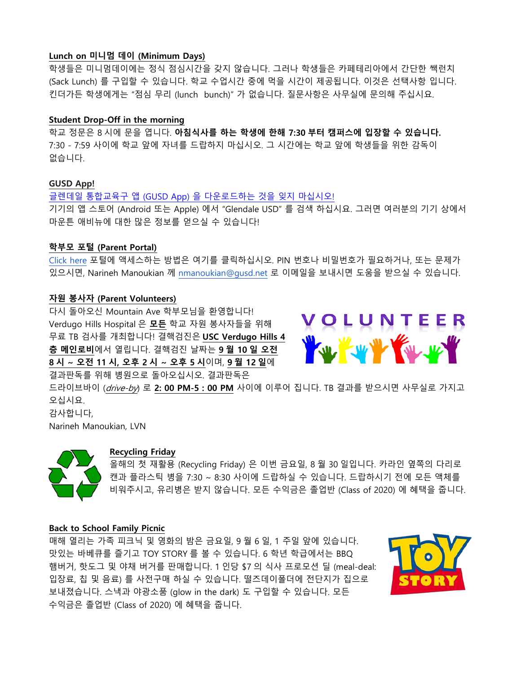### **Lunch on 미니멈 데이 (Minimum Days)**

학생들은 미니멈데이에는 정식 점심시간을 갖지 않습니다. 그러나 학생들은 카페테리아에서 간단한 쌕런치 (Sack Lunch) 를 구입할 수 있습니다. 학교 수업시간 중에 먹을 시간이 제공됩니다. 이것은 선택사항 입니다. 킨더가든 학생에게는 "점심 무리 (lunch bunch)" 가 없습니다. 질문사항은 사무실에 문의해 주십시요.

### **Student Drop-Off in the morning**

학교 정문은 8 시에 문을 엽니다. **아침식사를 하는 학생에 한해 7:30 부터 캠퍼스에 입장할 수 있습니다.**  7:30 - 7:59 사이에 학교 앞에 자녀를 드랍하지 마십시오. 그 시간에는 학교 앞에 학생들을 위한 감독이 없습니다.

### **GUSD App!**

글렌데일 통합교육구 앱 (GUSD App) 을 [다운로드하는](https://www.gusd.net/Page/5853) 것을 잊지 마십시오! 기기의 앱 스토어 (Android 또는 Apple) 에서 "Glendale USD" 를 검색 하십시요. 그러면 여러분의 기기 상에서 마운튼 애비뉴에 대한 많은 정보를 얻으실 수 있습니다!

### **학부모 포털 (Parent Portal)**

[Click here](https://drive.google.com/drive/search?q=parental%20portal) 포털에 액세스하는 방법은 여기를 클릭하십시오. PIN 번호나 비밀번호가 필요하거나, 또는 문제가 있으시면, Narineh Manoukian 께 [nmanoukian@gusd.net](mailto:nmanoukian@gusd.net) 로 이메일을 보내시면 도움을 받으실 수 있습니다.

### **자원 봉사자 (Parent Volunteers)**

다시 돌아오신 Mountain Ave 학부모님을 환영합니다! Verdugo Hills Hospital 은 **모든** 학교 자원 봉사자들을 위해 무료 TB 검사를 개최합니다! 결핵검진은 **USC Verdugo Hills 4 층 메인로비**에서 열립니다. 결핵검진 날짜는 **9 월 10 일 오전 8 시 ~ 오전 11 시, 오후 2 시 ~ 오후 5 시**이며, **9 월 12 일**에 결과판독를 위해 병원으로 돌아오십시오. 결과판독은



드라이브바이 (drive-by) 로 **2: 00 PM-5 : 00 PM** 사이에 이루어 집니다. TB 결과를 받으시면 사무실로 가지고 오십시요.

감사합니다, Narineh Manoukian, LVN



### **Recycling Friday**

올해의 첫 재활용 (Recycling Friday) 은 이번 금요일, 8 월 30 일입니다. 카라인 옆쪽의 다리로 캔과 플라스틱 병을 7:30 ~ 8:30 사이에 드랍하실 수 있습니다. 드랍하시기 전에 모든 액체를 비워주시고, 유리병은 받지 않습니다. 모든 수익금은 졸업반 (Class of 2020) 에 혜택을 줍니다.

### **Back to School Family Picnic**

매해 열리는 가족 피크닉 및 영화의 밤은 금요일, 9 월 6 일, 1 주일 앞에 있습니다. 맛있는 바베큐를 즐기고 TOY STORY 를 볼 수 있습니다. 6 학년 학급에서는 BBQ 햄버거, 핫도그 및 야채 버거를 판매합니다. 1 인당 \$7 의 식사 프로모션 딜 (meal-deal: 입장료, 칩 및 음료) 를 사전구매 하실 수 있습니다. 떨즈데이폴더에 전단지가 집으로 보내졌습니다. 스낵과 야광소품 (glow in the dark) 도 구입할 수 있습니다. 모든 수익금은 졸업반 (Class of 2020) 에 혜택을 줍니다.

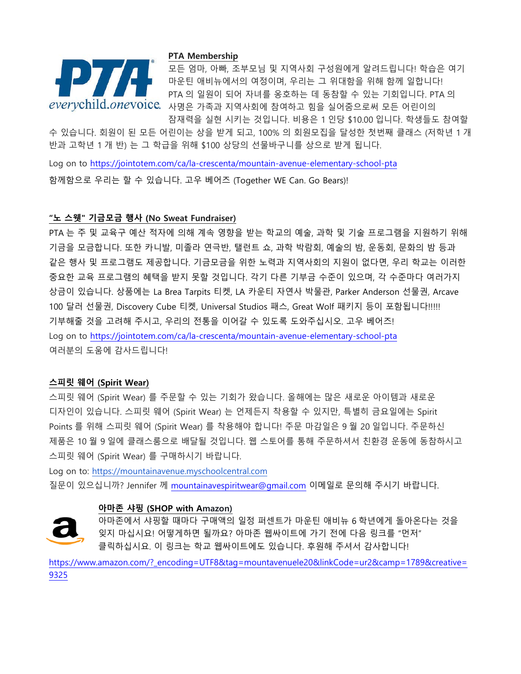

### **PTA Membership**

모든 엄마, 아빠, 조부모님 및 지역사회 구성원에게 알려드립니다! 학습은 여기 마운틴 애비뉴에서의 여정이며, 우리는 그 위대함을 위해 함께 일합니다! PTA 의 일원이 되어 자녀를 옹호하는 데 동참할 수 있는 기회입니다. PTA 의 everychild.onevoice. 사명은 가족과 지역사회에 참여하고 힘을 실어줌으로써 모든 어린이의 잠재력을 실현 시키는 것입니다. 비용은 1 인당 \$10.00 입니다. 학생들도 참여할

수 있습니다. 회원이 된 모든 어린이는 상을 받게 되고, 100% 의 회원모집을 달성한 첫번째 클래스 (저학년 1 개 반과 고학년 1 개 반) 는 그 학급을 위해 \$100 상당의 선물바구니를 상으로 받게 됩니다.

Log on to<https://jointotem.com/ca/la-crescenta/mountain-avenue-elementary-school-pta> 함께함으로 우리는 할 수 있습니다. 고우 베어즈 (Together WE Can. Go Bears)!

### **"노 스웻" 기금모금 행사 (No Sweat Fundraiser)**

PTA 는 주 및 교육구 예산 적자에 의해 계속 영향을 받는 학교의 예술, 과학 및 기술 프로그램을 지원하기 위해 기금을 모금합니다. 또한 카니발, 미졸라 연극반, 탤런트 쇼, 과학 박람회, 예술의 밤, 운동회, 문화의 밤 등과 같은 행사 및 프로그램도 제공합니다. 기금모금을 위한 노력과 지역사회의 지원이 없다면, 우리 학교는 이러한 중요한 교육 프로그램의 혜택을 받지 못할 것입니다. 각기 다른 기부금 수준이 있으며, 각 수준마다 여러가지 상금이 있습니다. 상품에는 La Brea Tarpits 티켓, LA 카운티 자연사 박물관, Parker Anderson 선물권, Arcave 100 달러 선물권, Discovery Cube 티켓, Universal Studios 패스, Great Wolf 패키지 등이 포함됩니다!!!!! 기부해줄 것을 고려해 주시고, 우리의 전통을 이어갈 수 있도록 도와주십시오. 고우 베어즈! Log on to<https://jointotem.com/ca/la-crescenta/mountain-avenue-elementary-school-pta> 여러분의 도움에 감사드립니다!

### **스피릿 웨어 (Spirit Wear)**

스피릿 웨어 (Spirit Wear) 를 주문할 수 있는 기회가 왔습니다. 올해에는 많은 새로운 아이템과 새로운 디자인이 있습니다. 스피릿 웨어 (Spirit Wear) 는 언제든지 착용할 수 있지만, 특별히 금요일에는 Spirit Points 를 위해 스피릿 웨어 (Spirit Wear) 를 착용해야 합니다! 주문 마감일은 9 월 20 일입니다. 주문하신 제품은 10 월 9 일에 클래스룸으로 배달될 것입니다. 웹 스토어를 통해 주문하셔서 친환경 운동에 동참하시고 스피릿 웨어 (Spirit Wear) 를 구매하시기 바랍니다.

Log on to: [https://mountainavenue.myschoolcentral.com](https://mountainavenue.myschoolcentral.com/) 질문이 있으십니까? Jennifer 께 [mountainavespiritwear@gmail.com](mailto:mountainavespiritwear@gmail.com) 이메일로 문의해 주시기 바랍니다.

### **아마존 샤핑 (SHOP with Amazon)**



아마존에서 샤핑할 때마다 구매액의 일정 퍼센트가 마운틴 애비뉴 6 학년에게 돌아온다는 것을 잊지 마십시요! 어떻게하면 될까요? 아마존 웹싸이트에 가기 전에 다음 링크를 "먼저" 클릭하십시요. 이 링크는 학교 웹싸이트에도 있습니다. 후원해 주셔서 감사합니다!

[https://www.amazon.com/?\\_encoding=UTF8&tag=mountavenuele20&linkCode=ur2&camp=1789&creative=](https://www.amazon.com/?_encoding=UTF8&tag=mountavenuele20&linkCode=ur2&camp=1789&creative=9325) [9325](https://www.amazon.com/?_encoding=UTF8&tag=mountavenuele20&linkCode=ur2&camp=1789&creative=9325)